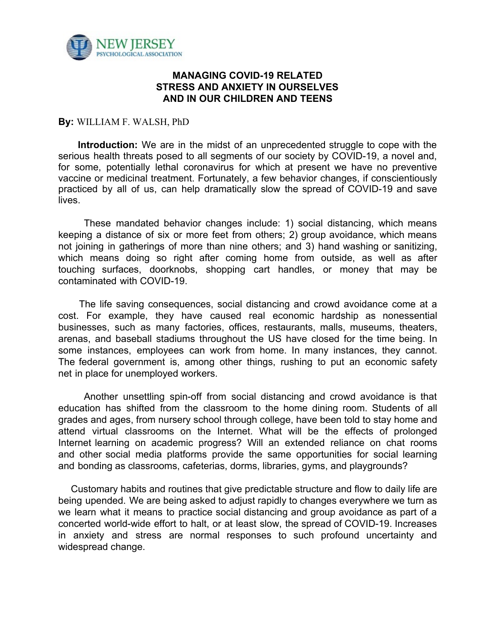

## **MANAGING COVID-19 RELATED STRESS AND ANXIETY IN OURSELVES AND IN OUR CHILDREN AND TEENS**

## **By:** WILLIAM F. WALSH, PhD

**Introduction:** We are in the midst of an unprecedented struggle to cope with the serious health threats posed to all segments of our society by COVID-19, a novel and, for some, potentially lethal coronavirus for which at present we have no preventive vaccine or medicinal treatment. Fortunately, a few behavior changes, if conscientiously practiced by all of us, can help dramatically slow the spread of COVID-19 and save lives.

These mandated behavior changes include: 1) social distancing, which means keeping a distance of six or more feet from others; 2) group avoidance, which means not joining in gatherings of more than nine others; and 3) hand washing or sanitizing, which means doing so right after coming home from outside, as well as after touching surfaces, doorknobs, shopping cart handles, or money that may be contaminated with COVID-19.

The life saving consequences, social distancing and crowd avoidance come at a cost. For example, they have caused real economic hardship as nonessential businesses, such as many factories, offices, restaurants, malls, museums, theaters, arenas, and baseball stadiums throughout the US have closed for the time being. In some instances, employees can work from home. In many instances, they cannot. The federal government is, among other things, rushing to put an economic safety net in place for unemployed workers.

Another unsettling spin-off from social distancing and crowd avoidance is that education has shifted from the classroom to the home dining room. Students of all grades and ages, from nursery school through college, have been told to stay home and attend virtual classrooms on the Internet. What will be the effects of prolonged Internet learning on academic progress? Will an extended reliance on chat rooms and other social media platforms provide the same opportunities for social learning and bonding as classrooms, cafeterias, dorms, libraries, gyms, and playgrounds?

Customary habits and routines that give predictable structure and flow to daily life are being upended. We are being asked to adjust rapidly to changes everywhere we turn as we learn what it means to practice social distancing and group avoidance as part of a concerted world-wide effort to halt, or at least slow, the spread of COVID-19. Increases in anxiety and stress are normal responses to such profound uncertainty and widespread change.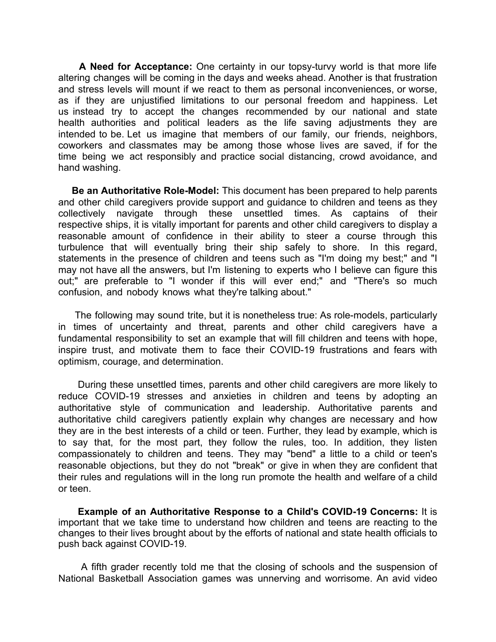**A Need for Acceptance:** One certainty in our topsy-turvy world is that more life altering changes will be coming in the days and weeks ahead. Another is that frustration and stress levels will mount if we react to them as personal inconveniences, or worse, as if they are unjustified limitations to our personal freedom and happiness. Let us instead try to accept the changes recommended by our national and state health authorities and political leaders as the life saving adjustments they are intended to be. Let us imagine that members of our family, our friends, neighbors, coworkers and classmates may be among those whose lives are saved, if for the time being we act responsibly and practice social distancing, crowd avoidance, and hand washing.

**Be an Authoritative Role-Model:** This document has been prepared to help parents and other child caregivers provide support and guidance to children and teens as they collectively navigate through these unsettled times. As captains of their respective ships, it is vitally important for parents and other child caregivers to display a reasonable amount of confidence in their ability to steer a course through this turbulence that will eventually bring their ship safely to shore. In this regard, statements in the presence of children and teens such as "I'm doing my best;" and "I may not have all the answers, but I'm listening to experts who I believe can figure this out;" are preferable to "I wonder if this will ever end;" and "There's so much confusion, and nobody knows what they're talking about."

The following may sound trite, but it is nonetheless true: As role-models, particularly in times of uncertainty and threat, parents and other child caregivers have a fundamental responsibility to set an example that will fill children and teens with hope, inspire trust, and motivate them to face their COVID-19 frustrations and fears with optimism, courage, and determination.

During these unsettled times, parents and other child caregivers are more likely to reduce COVID-19 stresses and anxieties in children and teens by adopting an authoritative style of communication and leadership. Authoritative parents and authoritative child caregivers patiently explain why changes are necessary and how they are in the best interests of a child or teen. Further, they lead by example, which is to say that, for the most part, they follow the rules, too. In addition, they listen compassionately to children and teens. They may "bend" a little to a child or teen's reasonable objections, but they do not "break" or give in when they are confident that their rules and regulations will in the long run promote the health and welfare of a child or teen.

**Example of an Authoritative Response to a Child's COVID-19 Concerns:** It is important that we take time to understand how children and teens are reacting to the changes to their lives brought about by the efforts of national and state health officials to push back against COVID-19.

A fifth grader recently told me that the closing of schools and the suspension of National Basketball Association games was unnerving and worrisome. An avid video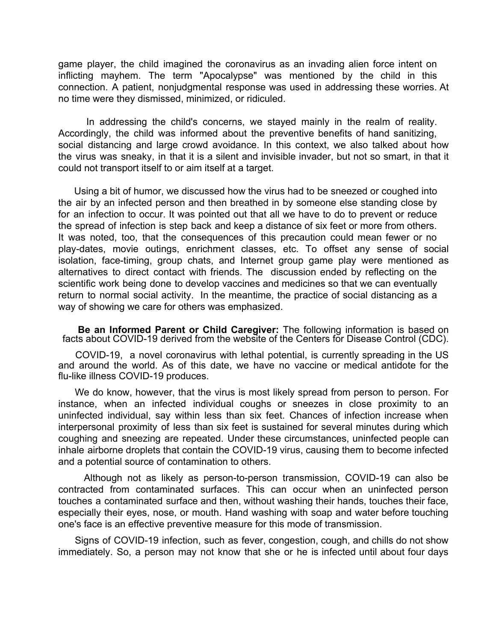game player, the child imagined the coronavirus as an invading alien force intent on inflicting mayhem. The term "Apocalypse" was mentioned by the child in this connection. A patient, nonjudgmental response was used in addressing these worries. At no time were they dismissed, minimized, or ridiculed.

In addressing the child's concerns, we stayed mainly in the realm of reality. Accordingly, the child was informed about the preventive benefits of hand sanitizing, social distancing and large crowd avoidance. In this context, we also talked about how the virus was sneaky, in that it is a silent and invisible invader, but not so smart, in that it could not transport itself to or aim itself at a target.

Using a bit of humor, we discussed how the virus had to be sneezed or coughed into the air by an infected person and then breathed in by someone else standing close by for an infection to occur. It was pointed out that all we have to do to prevent or reduce the spread of infection is step back and keep a distance of six feet or more from others. It was noted, too, that the consequences of this precaution could mean fewer or no play-dates, movie outings, enrichment classes, etc. To offset any sense of social isolation, face-timing, group chats, and Internet group game play were mentioned as alternatives to direct contact with friends. The discussion ended by reflecting on the scientific work being done to develop vaccines and medicines so that we can eventually return to normal social activity. In the meantime, the practice of social distancing as a way of showing we care for others was emphasized.

**Be an Informed Parent or Child Caregiver:** The following information is based on facts about COVID-19 derived from the website of the Centers for Disease Control (CDC).

COVID-19, a novel coronavirus with lethal potential, is currently spreading in the US and around the world. As of this date, we have no vaccine or medical antidote for the flu-like illness COVID-19 produces.

We do know, however, that the virus is most likely spread from person to person. For instance, when an infected individual coughs or sneezes in close proximity to an uninfected individual, say within less than six feet. Chances of infection increase when interpersonal proximity of less than six feet is sustained for several minutes during which coughing and sneezing are repeated. Under these circumstances, uninfected people can inhale airborne droplets that contain the COVID-19 virus, causing them to become infected and a potential source of contamination to others.

Although not as likely as person-to-person transmission, COVID-19 can also be contracted from contaminated surfaces. This can occur when an uninfected person touches a contaminated surface and then, without washing their hands, touches their face, especially their eyes, nose, or mouth. Hand washing with soap and water before touching one's face is an effective preventive measure for this mode of transmission.

Signs of COVID-19 infection, such as fever, congestion, cough, and chills do not show immediately. So, a person may not know that she or he is infected until about four days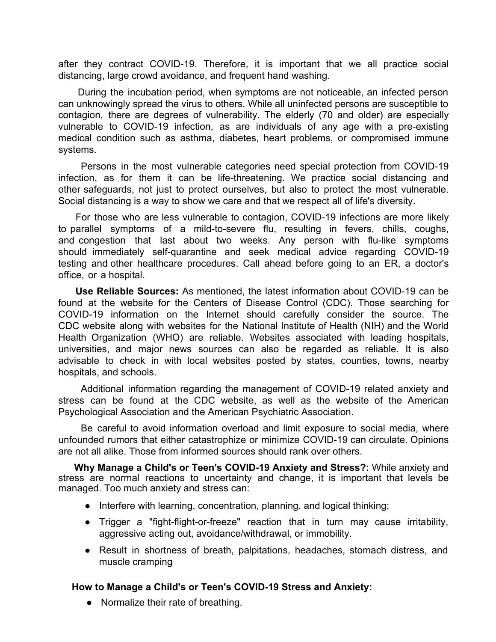after they contract COVID-19. Therefore, it is important that we all practice social distancing, large crowd avoidance, and frequent hand washing.

During the incubation period, when symptoms are not noticeable, an infected person can unknowingly spread the virus to others. While all uninfected persons are susceptible to contagion, there are degrees of vulnerability. The elderly (70 and older) are especially vulnerable to COVID-19 infection, as are individuals of any age with a pre-existing medical condition such as asthma, diabetes, heart problems, or compromised immune systems.

Persons in the most vulnerable categories need special protection from COVID-19 infection, as for them it can be life-threatening. We practice social distancing and other safeguards, not just to protect ourselves, but also to protect the most vulnerable. Social distancing is a way to show we care and that we respect all of life's diversity.

For those who are less vulnerable to contagion, COVID-19 infections are more likely to parallel symptoms of a mild-to-severe flu, resulting in fevers, chills, coughs, and congestion that last about two weeks. Any person with flu-like symptoms should immediately self-quarantine and seek medical advice regarding COVID-19 testing and other healthcare procedures. Call ahead before going to an ER, a doctor's office, or a hospital.

**Use Reliable Sources:** As mentioned, the latest information about COVID-19 can be found at the website for the Centers of Disease Control (CDC). Those searching for COVID-19 information on the Internet should carefully consider the source. The CDC website along with websites for the National Institute of Health (NIH) and the World Health Organization (WHO) are reliable. Websites associated with leading hospitals, universities, and major news sources can also be regarded as reliable. It is also advisable to check in with local websites posted by states, counties, towns, nearby hospitals, and schools.

Additional information regarding the management of COVID-19 related anxiety and stress can be found at the CDC website, as well as the website of the American Psychological Association and the American Psychiatric Association.

Be careful to avoid information overload and limit exposure to social media, where unfounded rumors that either catastrophize or minimize COVID-19 can circulate. Opinions are not all alike. Those from informed sources should rank over others.

**Why Manage a Child's or Teen's COVID-19 Anxiety and Stress?:** While anxiety and stress are normal reactions to uncertainty and change, it is important that levels be managed. Too much anxiety and stress can:

- Interfere with learning, concentration, planning, and logical thinking;
- Trigger a "fight-flight-or-freeze" reaction that in turn may cause irritability, aggressive acting out, avoidance/withdrawal, or immobility.
- Result in shortness of breath, palpitations, headaches, stomach distress, and muscle cramping

## **How to Manage a Child's or Teen's COVID-19 Stress and Anxiety:**

• Normalize their rate of breathing.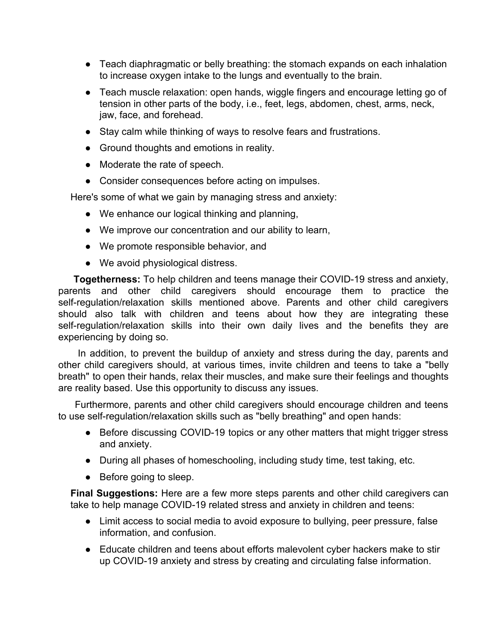- Teach diaphragmatic or belly breathing: the stomach expands on each inhalation to increase oxygen intake to the lungs and eventually to the brain.
- Teach muscle relaxation: open hands, wiggle fingers and encourage letting go of tension in other parts of the body, i.e., feet, legs, abdomen, chest, arms, neck, jaw, face, and forehead.
- Stay calm while thinking of ways to resolve fears and frustrations.
- Ground thoughts and emotions in reality.
- Moderate the rate of speech.
- Consider consequences before acting on impulses.

Here's some of what we gain by managing stress and anxiety:

- We enhance our logical thinking and planning,
- We improve our concentration and our ability to learn,
- We promote responsible behavior, and
- We avoid physiological distress.

**Togetherness:** To help children and teens manage their COVID-19 stress and anxiety, parents and other child caregivers should encourage them to practice the self-regulation/relaxation skills mentioned above. Parents and other child caregivers should also talk with children and teens about how they are integrating these self-regulation/relaxation skills into their own daily lives and the benefits they are experiencing by doing so.

In addition, to prevent the buildup of anxiety and stress during the day, parents and other child caregivers should, at various times, invite children and teens to take a "belly breath" to open their hands, relax their muscles, and make sure their feelings and thoughts are reality based. Use this opportunity to discuss any issues.

Furthermore, parents and other child caregivers should encourage children and teens to use self-regulation/relaxation skills such as "belly breathing" and open hands:

- Before discussing COVID-19 topics or any other matters that might trigger stress and anxiety.
- During all phases of homeschooling, including study time, test taking, etc.
- Before going to sleep.

**Final Suggestions:** Here are a few more steps parents and other child caregivers can take to help manage COVID-19 related stress and anxiety in children and teens:

- Limit access to social media to avoid exposure to bullying, peer pressure, false information, and confusion.
- Educate children and teens about efforts malevolent cyber hackers make to stir up COVID-19 anxiety and stress by creating and circulating false information.